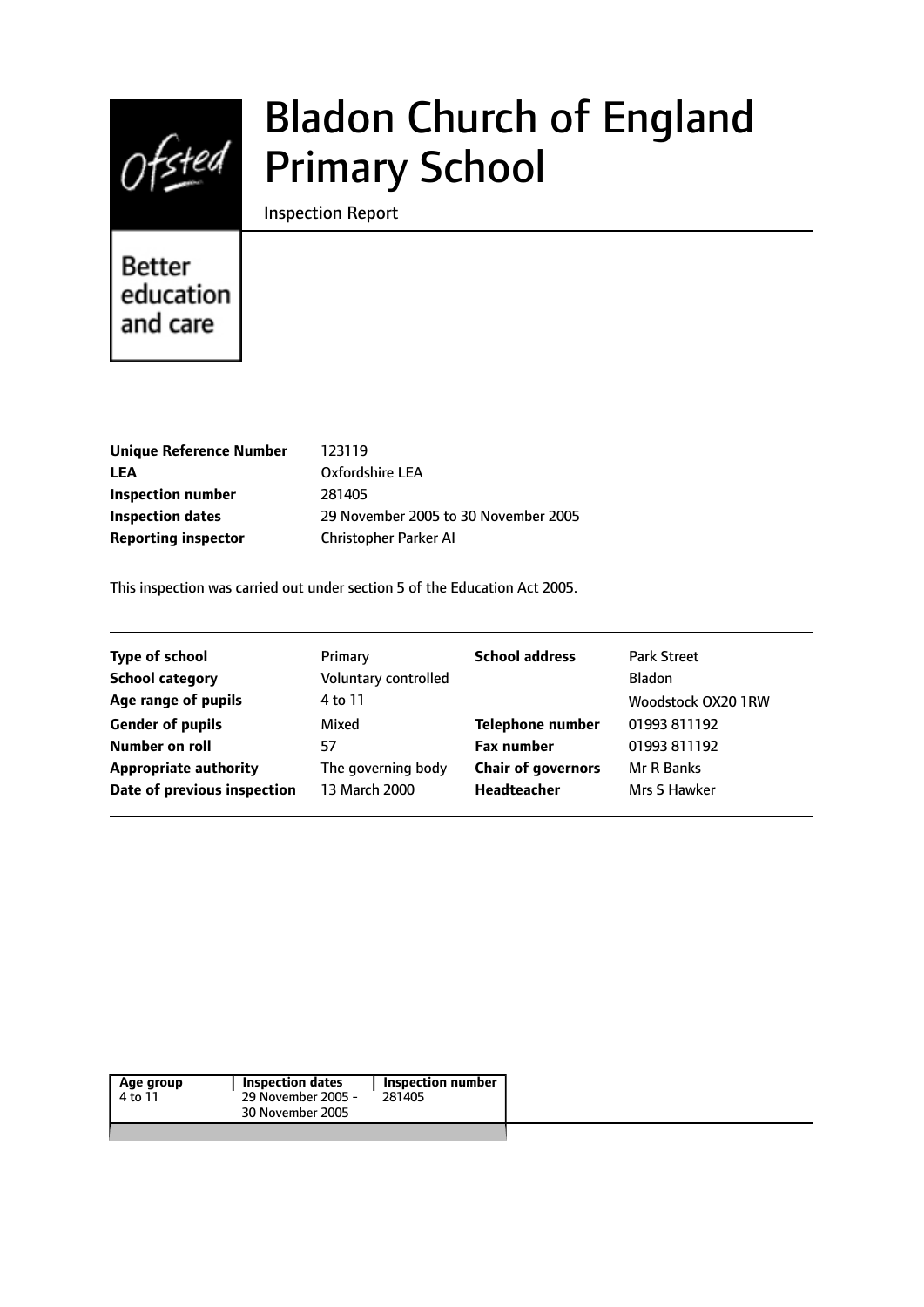

# Bladon Church of England Primary School

Inspection Report

# **Better** education and care

| <b>Unique Reference Number</b> | 123119                               |
|--------------------------------|--------------------------------------|
| LEA                            | Oxfordshire LEA                      |
| Inspection number              | 281405                               |
| <b>Inspection dates</b>        | 29 November 2005 to 30 November 2005 |
| <b>Reporting inspector</b>     | Christopher Parker AI                |

This inspection was carried out under section 5 of the Education Act 2005.

| <b>Type of school</b>        | Primary              | <b>School address</b>     | <b>Park Street</b> |
|------------------------------|----------------------|---------------------------|--------------------|
| <b>School category</b>       | Voluntary controlled |                           | Bladon             |
| Age range of pupils          | 4 to 11              |                           | Woodstock OX20 1RW |
| <b>Gender of pupils</b>      | Mixed                | Telephone number          | 01993 811192       |
| Number on roll               | 57                   | <b>Fax number</b>         | 01993 811192       |
| <b>Appropriate authority</b> | The governing body   | <b>Chair of governors</b> | Mr R Banks         |
| Date of previous inspection  | 13 March 2000        | Headteacher               | Mrs S Hawker       |
|                              |                      |                           |                    |

|--|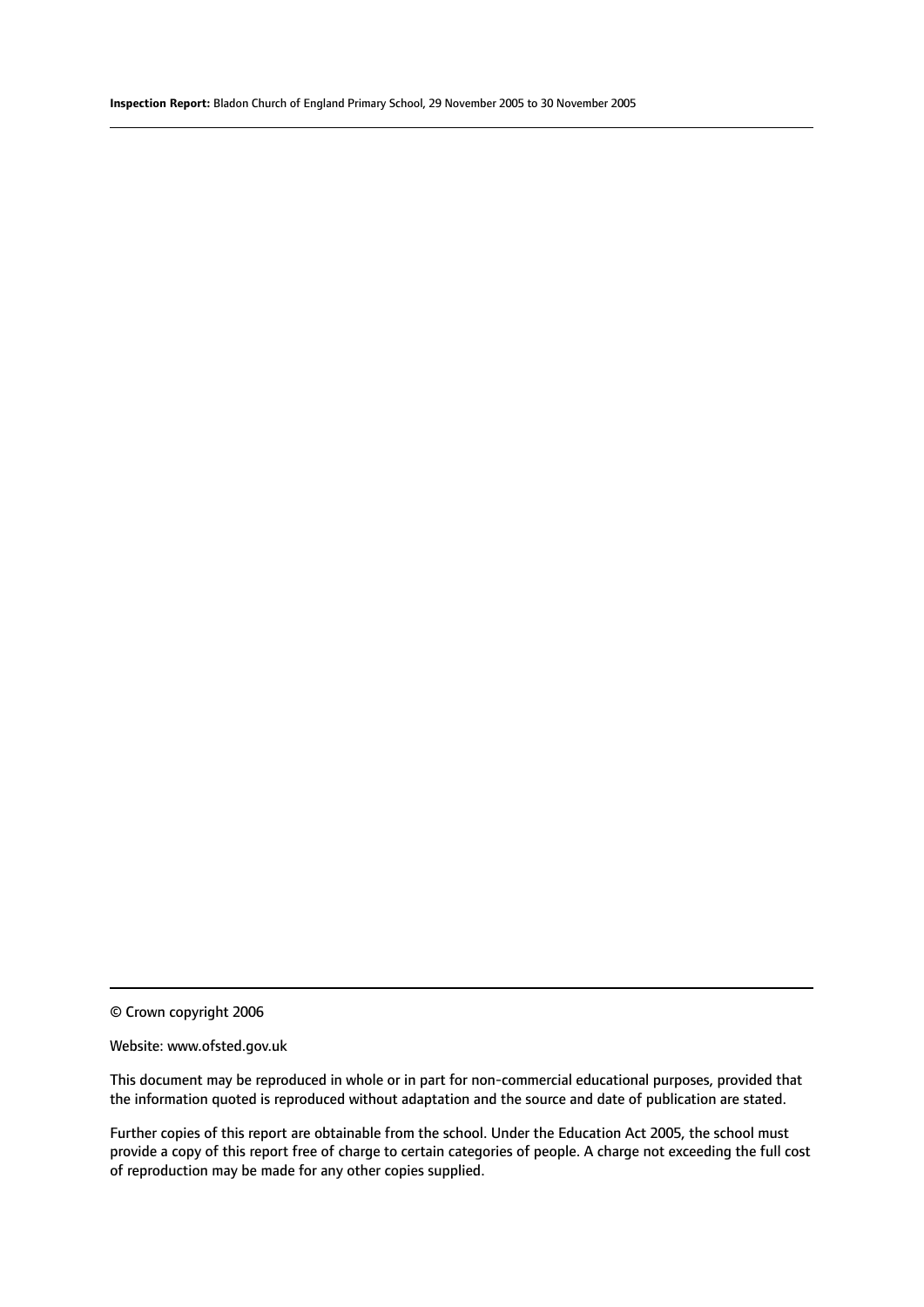© Crown copyright 2006

#### Website: www.ofsted.gov.uk

This document may be reproduced in whole or in part for non-commercial educational purposes, provided that the information quoted is reproduced without adaptation and the source and date of publication are stated.

Further copies of this report are obtainable from the school. Under the Education Act 2005, the school must provide a copy of this report free of charge to certain categories of people. A charge not exceeding the full cost of reproduction may be made for any other copies supplied.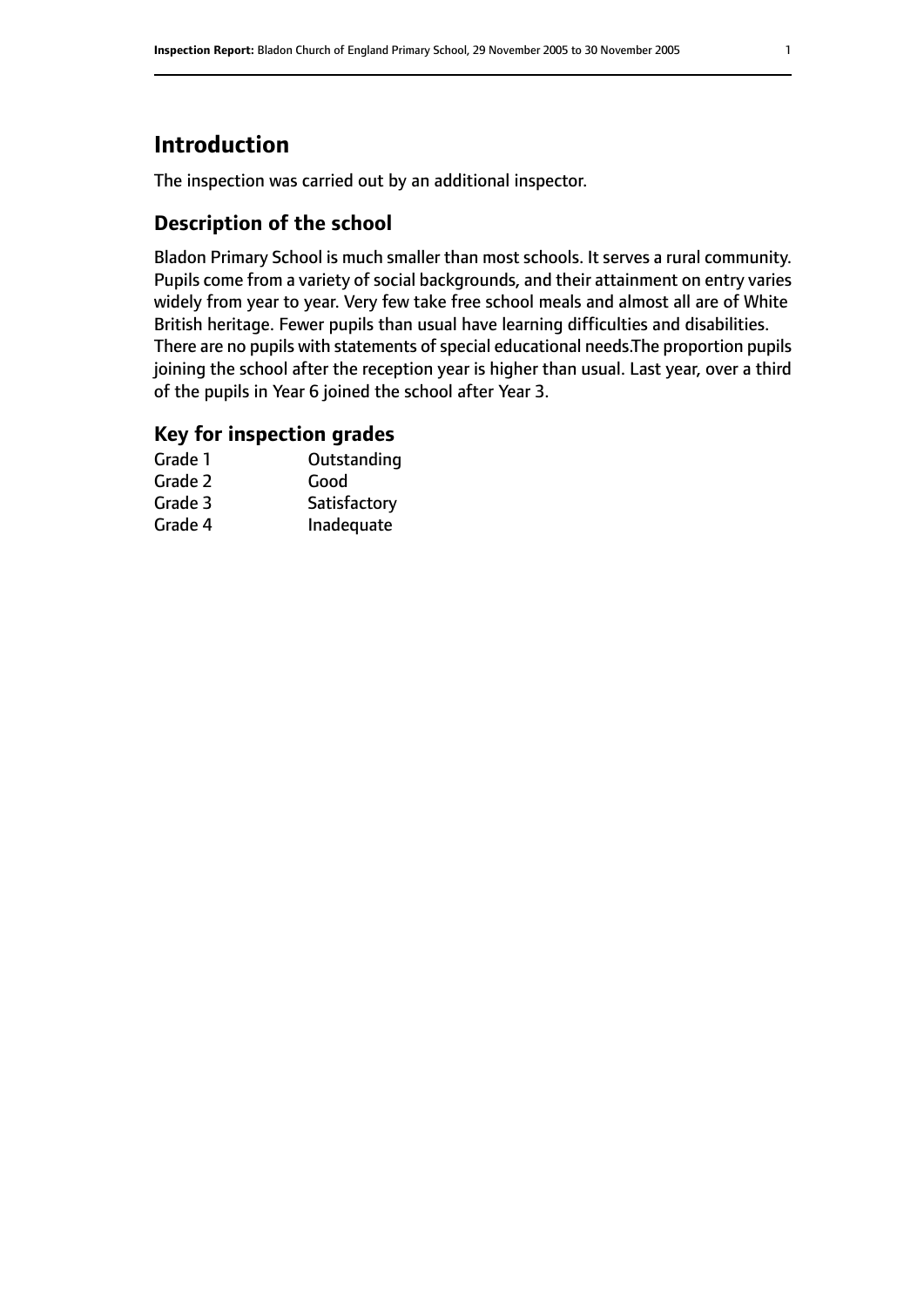# **Introduction**

The inspection was carried out by an additional inspector.

# **Description of the school**

Bladon Primary School is much smaller than most schools. It serves a rural community. Pupils come from a variety of social backgrounds, and their attainment on entry varies widely from year to year. Very few take free school meals and almost all are of White British heritage. Fewer pupils than usual have learning difficulties and disabilities. There are no pupils with statements of special educational needs.The proportion pupils joining the school after the reception year is higher than usual. Last year, over a third of the pupils in Year 6 joined the school after Year 3.

## **Key for inspection grades**

| Grade 1 | Outstanding  |
|---------|--------------|
| Grade 2 | Good         |
| Grade 3 | Satisfactory |
| Grade 4 | Inadequate   |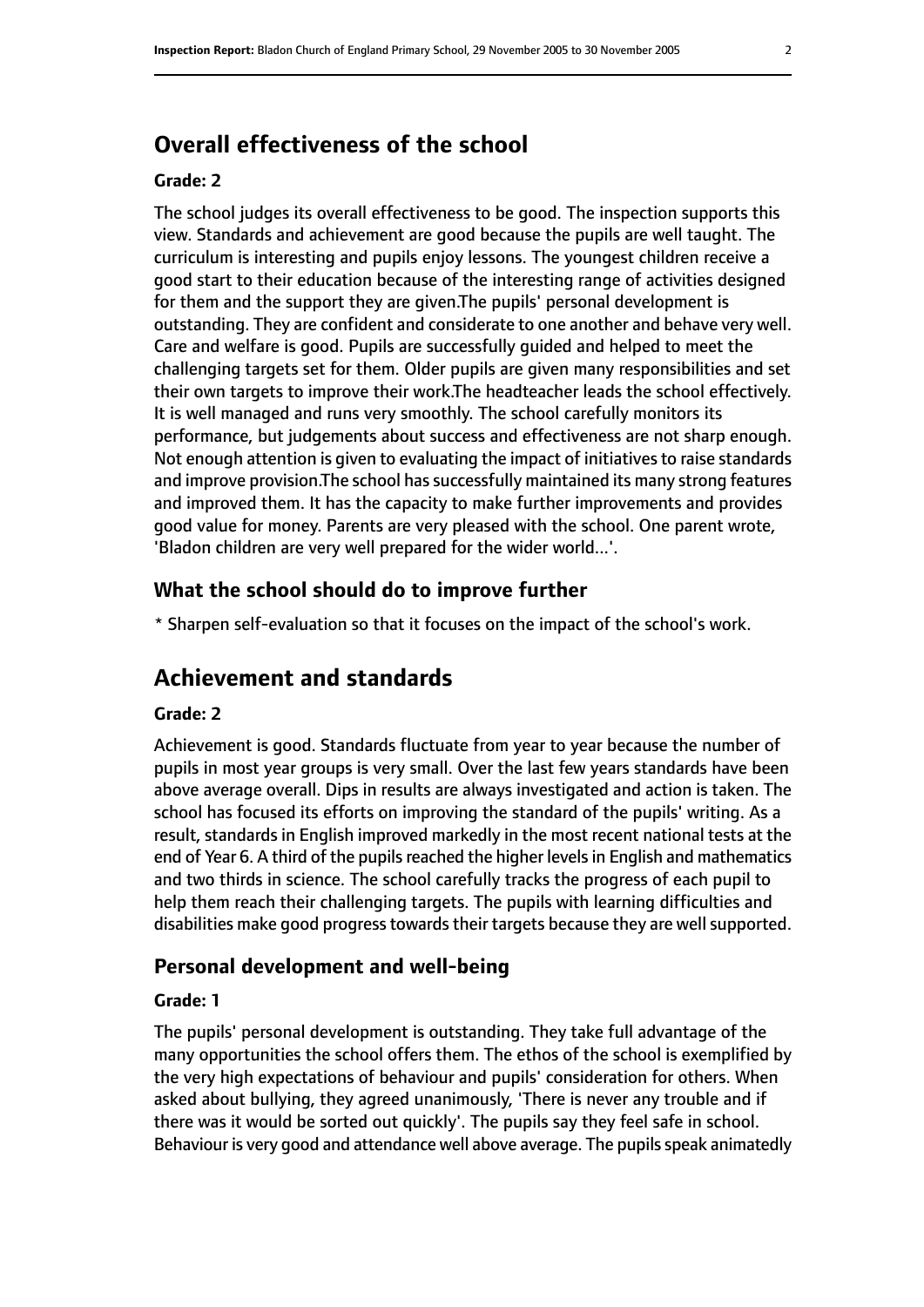# **Overall effectiveness of the school**

#### **Grade: 2**

The school judges its overall effectiveness to be good. The inspection supports this view. Standards and achievement are good because the pupils are well taught. The curriculum is interesting and pupils enjoy lessons. The youngest children receive a good start to their education because of the interesting range of activities designed for them and the support they are given.The pupils' personal development is outstanding. They are confident and considerate to one another and behave very well. Care and welfare is good. Pupils are successfully guided and helped to meet the challenging targets set for them. Older pupils are given many responsibilities and set their own targets to improve their work.The headteacher leads the school effectively. It is well managed and runs very smoothly. The school carefully monitors its performance, but judgements about success and effectiveness are not sharp enough. Not enough attention is given to evaluating the impact of initiatives to raise standards and improve provision. The school has successfully maintained its many strong features and improved them. It has the capacity to make further improvements and provides good value for money. Parents are very pleased with the school. One parent wrote, 'Bladon children are very well prepared for the wider world...'.

#### **What the school should do to improve further**

\* Sharpen self-evaluation so that it focuses on the impact of the school's work.

# **Achievement and standards**

#### **Grade: 2**

Achievement is good. Standards fluctuate from year to year because the number of pupils in most year groups is very small. Over the last few years standards have been above average overall. Dips in results are always investigated and action is taken. The school has focused its efforts on improving the standard of the pupils' writing. As a result, standards in English improved markedly in the most recent national tests at the end of Year 6. A third of the pupils reached the higher levels in English and mathematics and two thirds in science. The school carefully tracks the progress of each pupil to help them reach their challenging targets. The pupils with learning difficulties and disabilities make good progress towards their targets because they are well supported.

#### **Personal development and well-being**

#### **Grade: 1**

The pupils' personal development is outstanding. They take full advantage of the many opportunities the school offers them. The ethos of the school is exemplified by the very high expectations of behaviour and pupils' consideration for others. When asked about bullying, they agreed unanimously, 'There is never any trouble and if there was it would be sorted out quickly'. The pupils say they feel safe in school. Behaviour is very good and attendance well above average. The pupils speak animatedly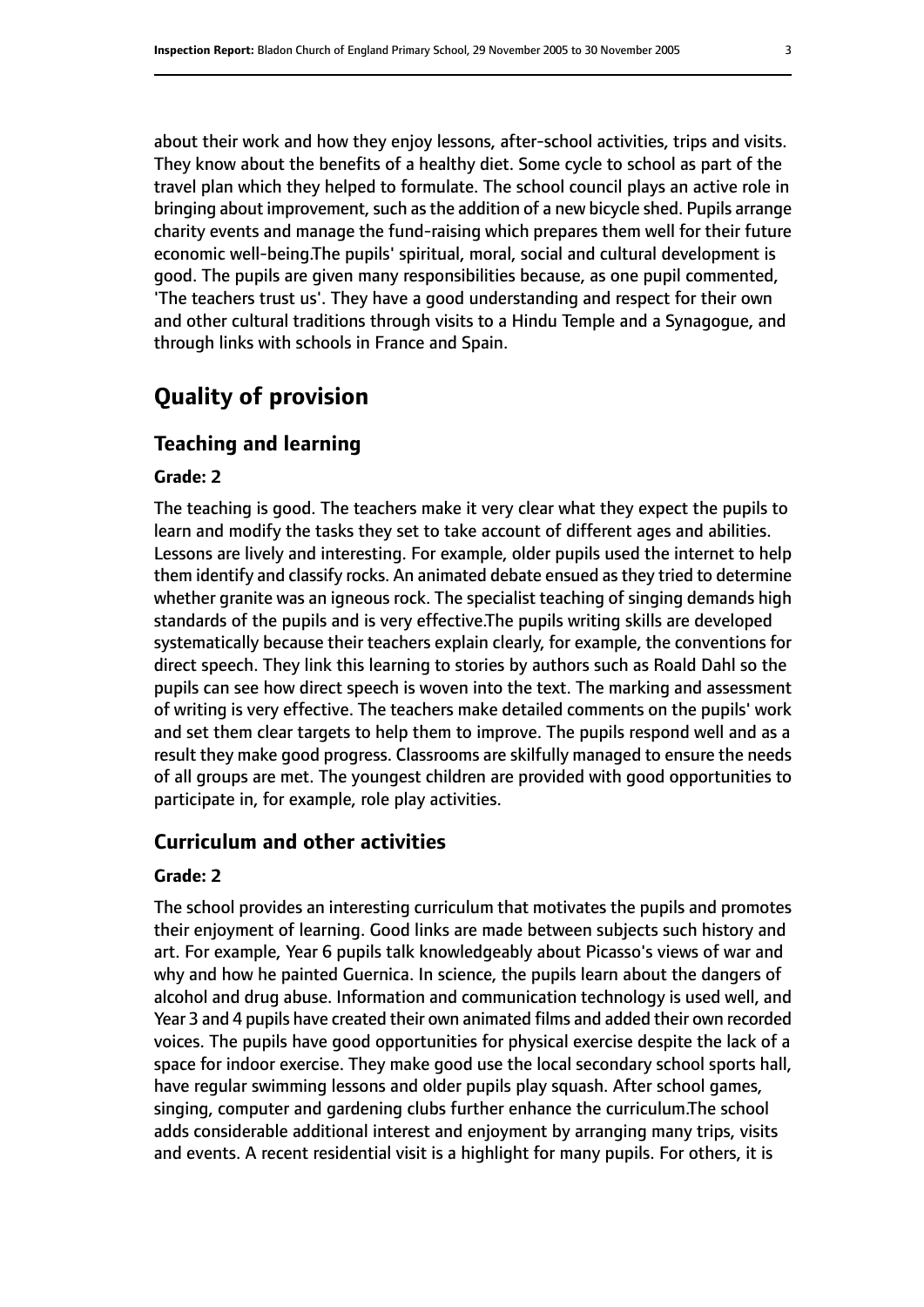about their work and how they enjoy lessons, after-school activities, trips and visits. They know about the benefits of a healthy diet. Some cycle to school as part of the travel plan which they helped to formulate. The school council plays an active role in bringing about improvement, such as the addition of a new bicycle shed. Pupils arrange charity events and manage the fund-raising which prepares them well for their future economic well-being.The pupils' spiritual, moral, social and cultural development is good. The pupils are given many responsibilities because, as one pupil commented, 'The teachers trust us'. They have a good understanding and respect for their own and other cultural traditions through visits to a Hindu Temple and a Synagogue, and through links with schools in France and Spain.

# **Quality of provision**

#### **Teaching and learning**

#### **Grade: 2**

The teaching is good. The teachers make it very clear what they expect the pupils to learn and modify the tasks they set to take account of different ages and abilities. Lessons are lively and interesting. For example, older pupils used the internet to help them identify and classify rocks. An animated debate ensued asthey tried to determine whether granite was an igneous rock. The specialist teaching of singing demands high standards of the pupils and is very effective.The pupils writing skills are developed systematically because their teachers explain clearly, for example, the conventions for direct speech. They link this learning to stories by authors such as Roald Dahl so the pupils can see how direct speech is woven into the text. The marking and assessment of writing is very effective. The teachers make detailed comments on the pupils' work and set them clear targets to help them to improve. The pupils respond well and as a result they make good progress. Classrooms are skilfully managed to ensure the needs of all groups are met. The youngest children are provided with good opportunities to participate in, for example, role play activities.

#### **Curriculum and other activities**

#### **Grade: 2**

The school provides an interesting curriculum that motivates the pupils and promotes their enjoyment of learning. Good links are made between subjects such history and art. For example, Year 6 pupils talk knowledgeably about Picasso's views of war and why and how he painted Guernica. In science, the pupils learn about the dangers of alcohol and drug abuse. Information and communication technology is used well, and Year 3 and 4 pupils have created their own animated films and added their own recorded voices. The pupils have good opportunities for physical exercise despite the lack of a space for indoor exercise. They make good use the local secondary school sports hall, have regular swimming lessons and older pupils play squash. After school games, singing, computer and gardening clubs further enhance the curriculum.The school adds considerable additional interest and enjoyment by arranging many trips, visits and events. A recent residential visit is a highlight for many pupils. For others, it is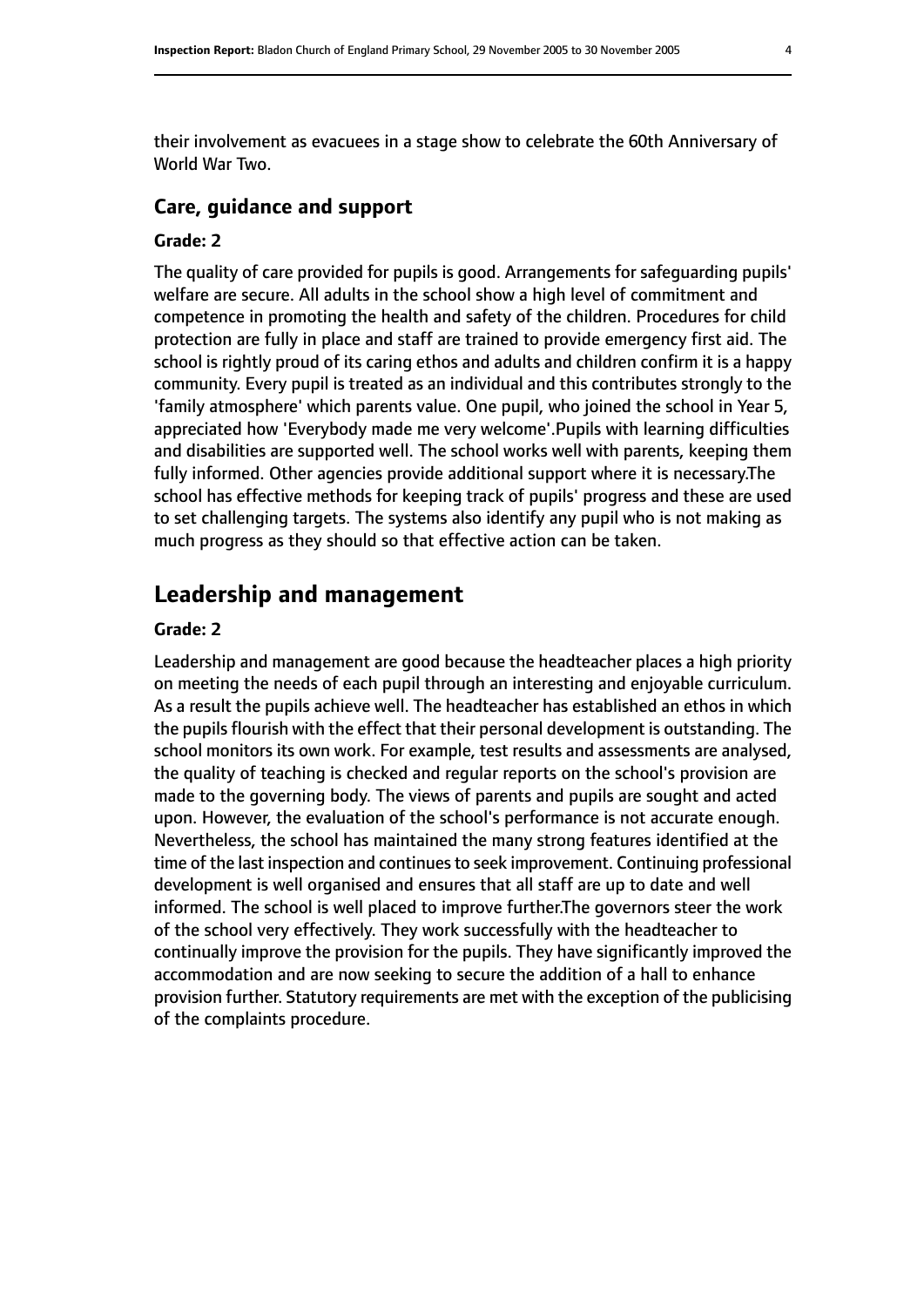their involvement as evacuees in a stage show to celebrate the 60th Anniversary of World War Two.

#### **Care, guidance and support**

#### **Grade: 2**

The quality of care provided for pupils is good. Arrangements for safeguarding pupils' welfare are secure. All adults in the school show a high level of commitment and competence in promoting the health and safety of the children. Procedures for child protection are fully in place and staff are trained to provide emergency first aid. The school is rightly proud of its caring ethos and adults and children confirm it is a happy community. Every pupil is treated as an individual and this contributes strongly to the 'family atmosphere' which parents value. One pupil, who joined the school in Year 5, appreciated how 'Everybody made me very welcome'.Pupils with learning difficulties and disabilities are supported well. The school works well with parents, keeping them fully informed. Other agencies provide additional support where it is necessary.The school has effective methods for keeping track of pupils' progress and these are used to set challenging targets. The systems also identify any pupil who is not making as much progress as they should so that effective action can be taken.

## **Leadership and management**

#### **Grade: 2**

Leadership and management are good because the headteacher places a high priority on meeting the needs of each pupil through an interesting and enjoyable curriculum. As a result the pupils achieve well. The headteacher has established an ethos in which the pupils flourish with the effect that their personal development is outstanding. The school monitors its own work. For example, test results and assessments are analysed, the quality of teaching is checked and regular reports on the school's provision are made to the governing body. The views of parents and pupils are sought and acted upon. However, the evaluation of the school's performance is not accurate enough. Nevertheless, the school has maintained the many strong features identified at the time of the last inspection and continues to seek improvement. Continuing professional development is well organised and ensures that all staff are up to date and well informed. The school is well placed to improve further.The governors steer the work of the school very effectively. They work successfully with the headteacher to continually improve the provision for the pupils. They have significantly improved the accommodation and are now seeking to secure the addition of a hall to enhance provision further. Statutory requirements are met with the exception of the publicising of the complaints procedure.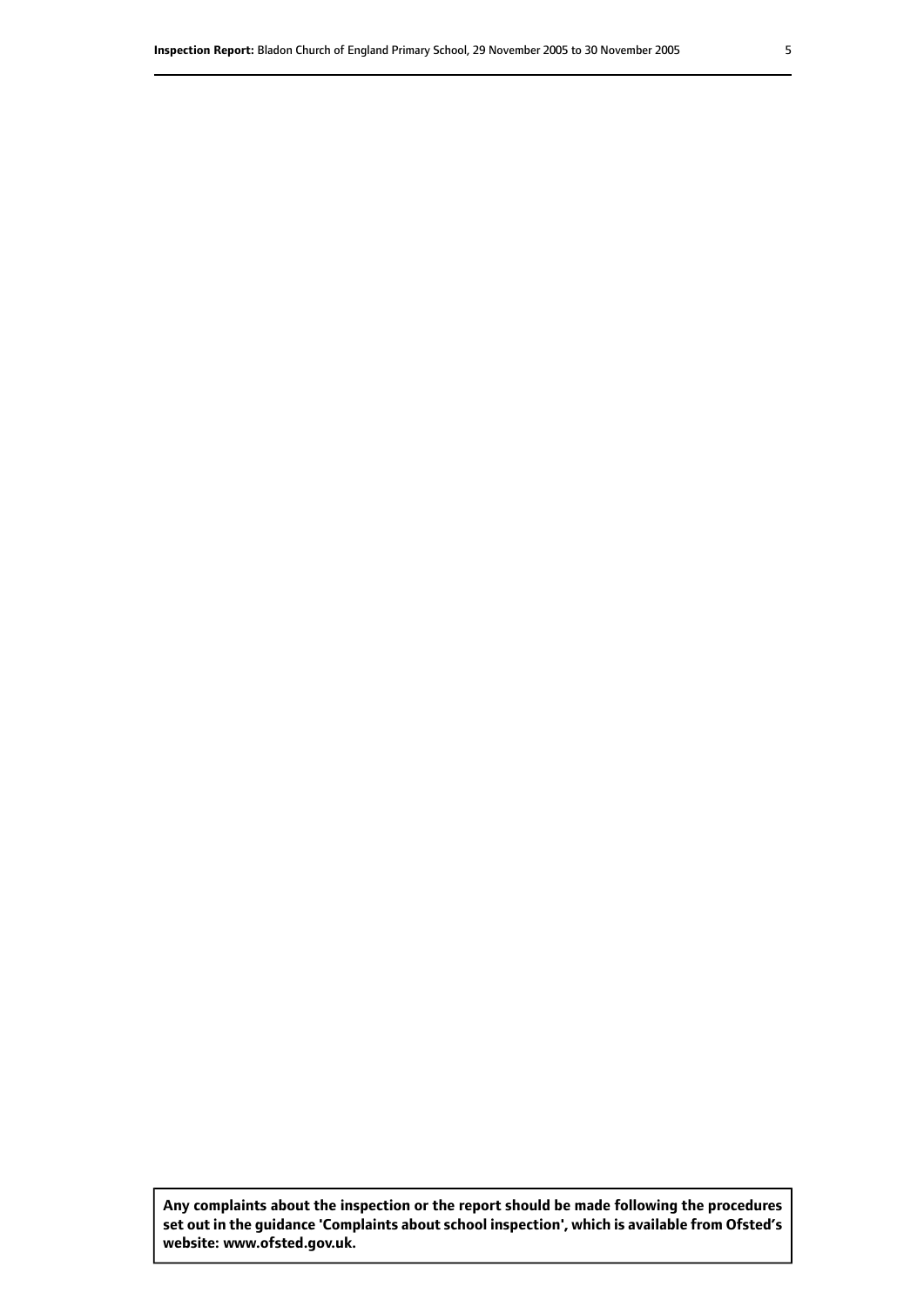**Any complaints about the inspection or the report should be made following the procedures set out inthe guidance 'Complaints about school inspection', whichis available from Ofsted's website: www.ofsted.gov.uk.**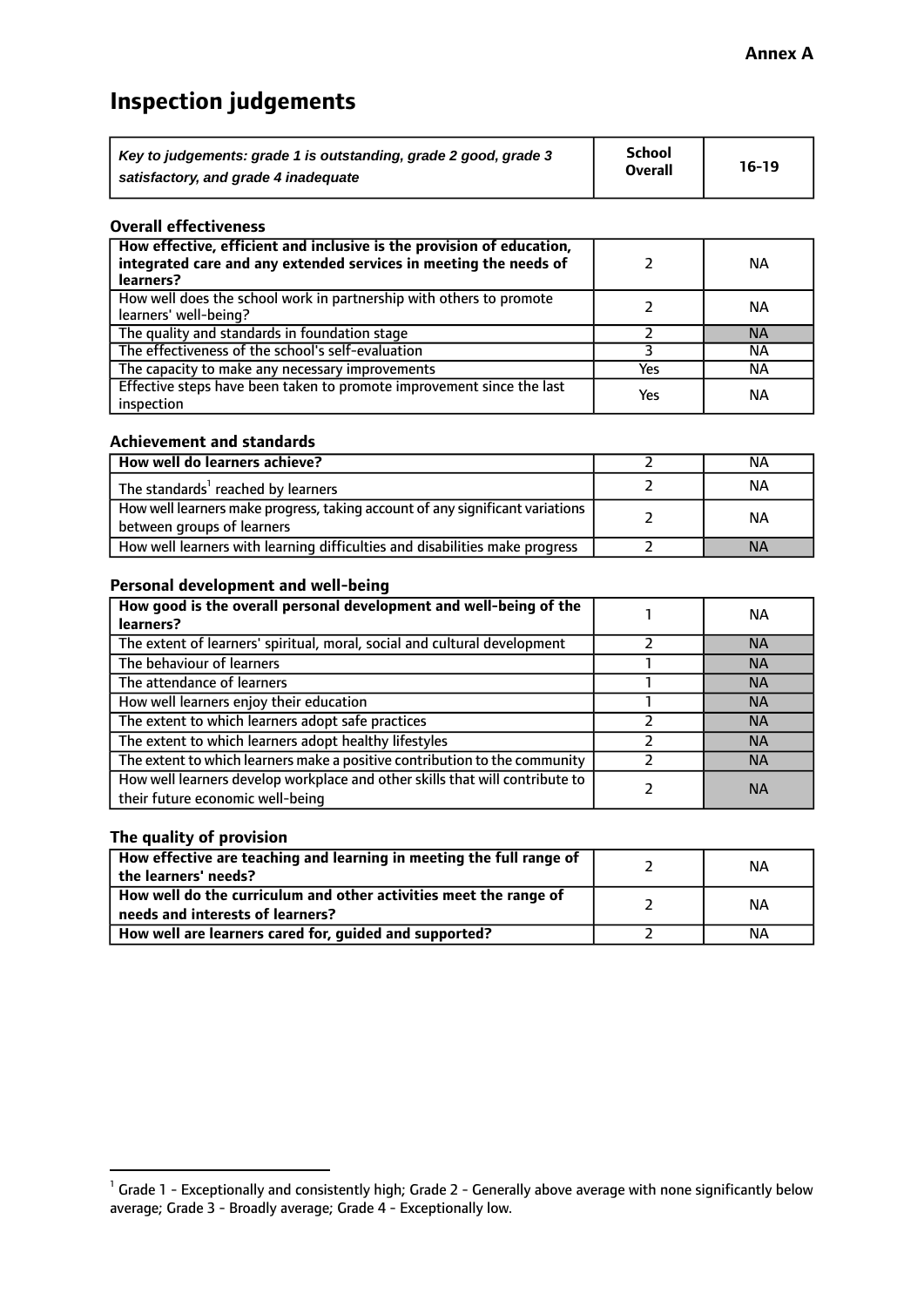# **Inspection judgements**

| Key to judgements: grade 1 is outstanding, grade 2 good, grade 3 | <b>School</b>  | $16-19$ |
|------------------------------------------------------------------|----------------|---------|
| satisfactory, and grade 4 inadequate                             | <b>Overall</b> |         |

#### **Overall effectiveness**

| How effective, efficient and inclusive is the provision of education,<br>integrated care and any extended services in meeting the needs of<br>learners? |     | <b>NA</b> |
|---------------------------------------------------------------------------------------------------------------------------------------------------------|-----|-----------|
| How well does the school work in partnership with others to promote<br>learners' well-being?                                                            |     | ΝA        |
| The quality and standards in foundation stage                                                                                                           |     | <b>NA</b> |
| The effectiveness of the school's self-evaluation                                                                                                       |     | ΝA        |
| The capacity to make any necessary improvements                                                                                                         | Yes | NА        |
| Effective steps have been taken to promote improvement since the last<br>inspection                                                                     | Yes | <b>NA</b> |

#### **Achievement and standards**

| How well do learners achieve?                                                                               | ΝA        |
|-------------------------------------------------------------------------------------------------------------|-----------|
| The standards <sup>1</sup> reached by learners                                                              | NА        |
| How well learners make progress, taking account of any significant variations<br>between groups of learners | <b>NA</b> |
| How well learners with learning difficulties and disabilities make progress                                 | <b>NA</b> |

#### **Personal development and well-being**

| How good is the overall personal development and well-being of the<br>learners?                                  | ΝA        |
|------------------------------------------------------------------------------------------------------------------|-----------|
| The extent of learners' spiritual, moral, social and cultural development                                        | <b>NA</b> |
| The behaviour of learners                                                                                        | <b>NA</b> |
| The attendance of learners                                                                                       | <b>NA</b> |
| How well learners enjoy their education                                                                          | <b>NA</b> |
| The extent to which learners adopt safe practices                                                                | <b>NA</b> |
| The extent to which learners adopt healthy lifestyles                                                            | <b>NA</b> |
| The extent to which learners make a positive contribution to the community                                       | <b>NA</b> |
| How well learners develop workplace and other skills that will contribute to<br>their future economic well-being | <b>NA</b> |

### **The quality of provision**

| How effective are teaching and learning in meeting the full range of<br>the learners' needs?          | ΝA |
|-------------------------------------------------------------------------------------------------------|----|
| How well do the curriculum and other activities meet the range of<br>needs and interests of learners? | ΝA |
| How well are learners cared for, guided and supported?                                                | NА |

 $^1$  Grade 1 - Exceptionally and consistently high; Grade 2 - Generally above average with none significantly below average; Grade 3 - Broadly average; Grade 4 - Exceptionally low.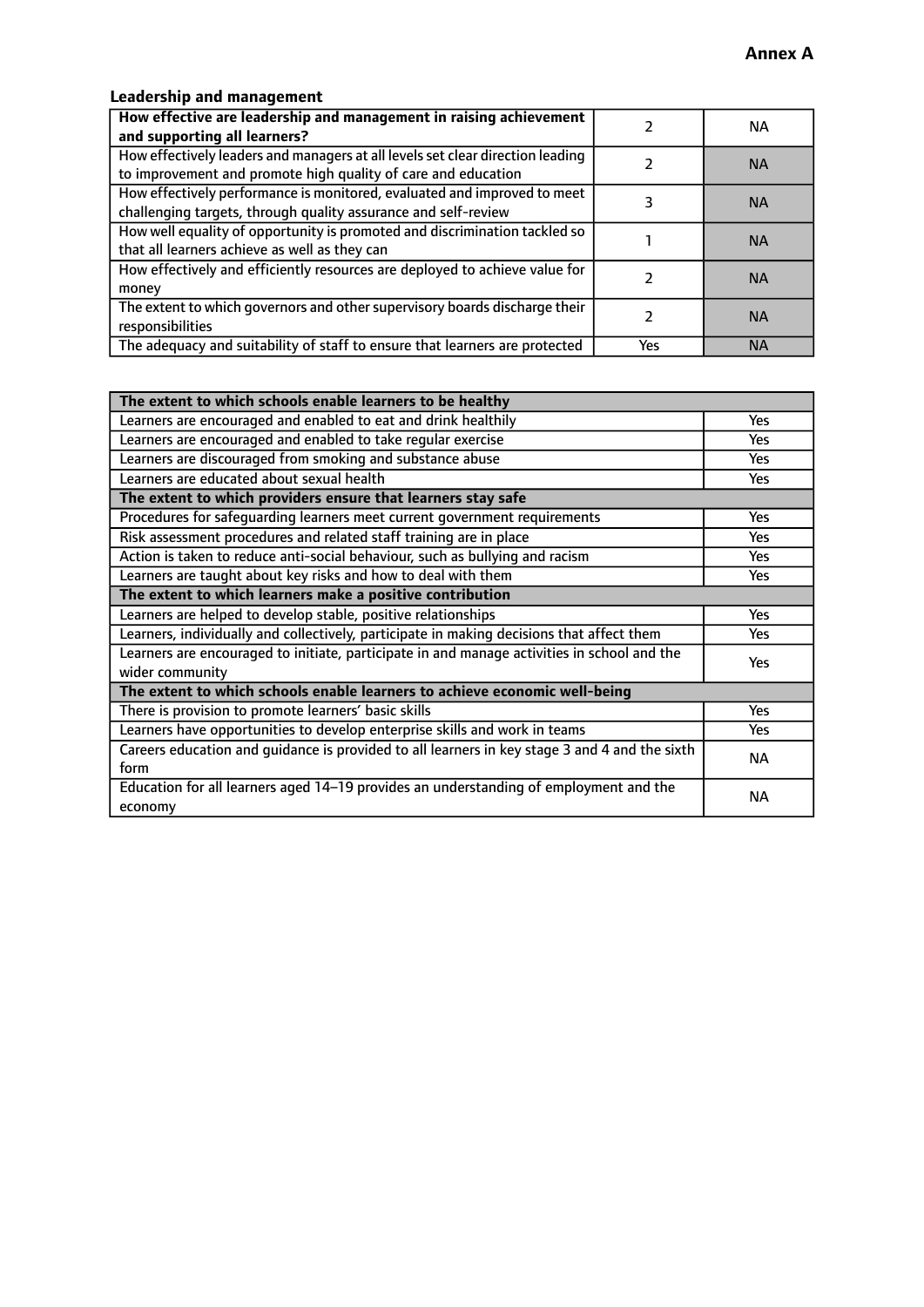# **Leadership and management**

| How effective are leadership and management in raising achievement<br>and supporting all learners?                                              |     | NA.       |
|-------------------------------------------------------------------------------------------------------------------------------------------------|-----|-----------|
| How effectively leaders and managers at all levels set clear direction leading<br>to improvement and promote high quality of care and education |     | <b>NA</b> |
| How effectively performance is monitored, evaluated and improved to meet<br>challenging targets, through quality assurance and self-review      |     | <b>NA</b> |
| How well equality of opportunity is promoted and discrimination tackled so<br>that all learners achieve as well as they can                     |     | <b>NA</b> |
| How effectively and efficiently resources are deployed to achieve value for<br>money                                                            |     | <b>NA</b> |
| The extent to which governors and other supervisory boards discharge their<br>responsibilities                                                  |     | <b>NA</b> |
| The adequacy and suitability of staff to ensure that learners are protected                                                                     | Yes | <b>NA</b> |

| The extent to which schools enable learners to be healthy                                     |            |  |
|-----------------------------------------------------------------------------------------------|------------|--|
| Learners are encouraged and enabled to eat and drink healthily                                | Yes        |  |
| Learners are encouraged and enabled to take regular exercise                                  | <b>Yes</b> |  |
| Learners are discouraged from smoking and substance abuse                                     | Yes        |  |
| Learners are educated about sexual health                                                     | Yes        |  |
| The extent to which providers ensure that learners stay safe                                  |            |  |
| Procedures for safequarding learners meet current government requirements                     | Yes        |  |
| Risk assessment procedures and related staff training are in place                            | <b>Yes</b> |  |
| Action is taken to reduce anti-social behaviour, such as bullying and racism                  | <b>Yes</b> |  |
| Learners are taught about key risks and how to deal with them                                 | Yes        |  |
| The extent to which learners make a positive contribution                                     |            |  |
| Learners are helped to develop stable, positive relationships                                 | Yes        |  |
| Learners, individually and collectively, participate in making decisions that affect them     | Yes        |  |
| Learners are encouraged to initiate, participate in and manage activities in school and the   |            |  |
| wider community                                                                               | <b>Yes</b> |  |
| The extent to which schools enable learners to achieve economic well-being                    |            |  |
| There is provision to promote learners' basic skills                                          | Yes        |  |
| Learners have opportunities to develop enterprise skills and work in teams                    | Yes        |  |
| Careers education and guidance is provided to all learners in key stage 3 and 4 and the sixth | <b>NA</b>  |  |
| form                                                                                          |            |  |
| Education for all learners aged 14-19 provides an understanding of employment and the         | NА         |  |
| economy                                                                                       |            |  |